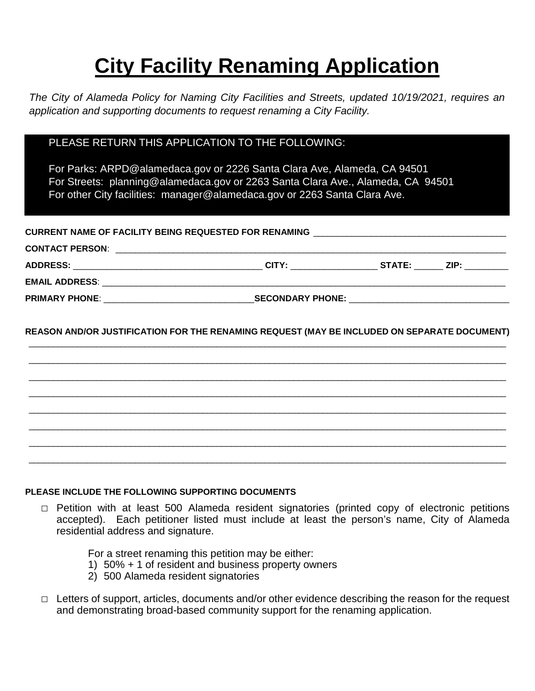# **City Facility Renaming Application**

*The City of Alameda Policy for Naming City Facilities and Streets, updated 10/19/2021, requires an application and supporting documents to request renaming a City Facility.*

# PLEASE RETURN THIS APPLICATION TO THE FOLLOWING:

For Parks: ARPD@alamedaca.gov or 2226 Santa Clara Ave, Alameda, CA 94501 For Streets: planning@alamedaca.gov or 2263 Santa Clara Ave., Alameda, CA 94501 For other City facilities: manager@alamedaca.gov or 2263 Santa Clara Ave.

| CURRENT NAME OF FACILITY BEING REQUESTED FOR RENAMING __________________________ |  |  |  |
|----------------------------------------------------------------------------------|--|--|--|
|                                                                                  |  |  |  |
|                                                                                  |  |  |  |
|                                                                                  |  |  |  |
|                                                                                  |  |  |  |
|                                                                                  |  |  |  |

**REASON AND/OR JUSTIFICATION FOR THE RENAMING REQUEST (MAY BE INCLUDED ON SEPARATE DOCUMENT)** \_\_\_\_\_\_\_\_\_\_\_\_\_\_\_\_\_\_\_\_\_\_\_\_\_\_\_\_\_\_\_\_\_\_\_\_\_\_\_\_\_\_\_\_\_\_\_\_\_\_\_\_\_\_\_\_\_\_\_\_\_\_\_\_\_\_\_\_\_\_\_\_\_\_\_\_\_\_\_\_\_\_\_\_\_\_\_\_\_\_\_\_\_\_\_\_\_\_\_

\_\_\_\_\_\_\_\_\_\_\_\_\_\_\_\_\_\_\_\_\_\_\_\_\_\_\_\_\_\_\_\_\_\_\_\_\_\_\_\_\_\_\_\_\_\_\_\_\_\_\_\_\_\_\_\_\_\_\_\_\_\_\_\_\_\_\_\_\_\_\_\_\_\_\_\_\_\_\_\_\_\_\_\_\_\_\_\_\_\_\_\_\_\_\_\_\_\_\_ \_\_\_\_\_\_\_\_\_\_\_\_\_\_\_\_\_\_\_\_\_\_\_\_\_\_\_\_\_\_\_\_\_\_\_\_\_\_\_\_\_\_\_\_\_\_\_\_\_\_\_\_\_\_\_\_\_\_\_\_\_\_\_\_\_\_\_\_\_\_\_\_\_\_\_\_\_\_\_\_\_\_\_\_\_\_\_\_\_\_\_\_\_\_\_\_\_\_\_ \_\_\_\_\_\_\_\_\_\_\_\_\_\_\_\_\_\_\_\_\_\_\_\_\_\_\_\_\_\_\_\_\_\_\_\_\_\_\_\_\_\_\_\_\_\_\_\_\_\_\_\_\_\_\_\_\_\_\_\_\_\_\_\_\_\_\_\_\_\_\_\_\_\_\_\_\_\_\_\_\_\_\_\_\_\_\_\_\_\_\_\_\_\_\_\_\_\_\_  $\_$  , and the set of the set of the set of the set of the set of the set of the set of the set of the set of the set of the set of the set of the set of the set of the set of the set of the set of the set of the set of th  $\_$  , and the set of the set of the set of the set of the set of the set of the set of the set of the set of the set of the set of the set of the set of the set of the set of the set of the set of the set of the set of th \_\_\_\_\_\_\_\_\_\_\_\_\_\_\_\_\_\_\_\_\_\_\_\_\_\_\_\_\_\_\_\_\_\_\_\_\_\_\_\_\_\_\_\_\_\_\_\_\_\_\_\_\_\_\_\_\_\_\_\_\_\_\_\_\_\_\_\_\_\_\_\_\_\_\_\_\_\_\_\_\_\_\_\_\_\_\_\_\_\_\_\_\_\_\_\_\_\_\_  $\_$  ,  $\_$  ,  $\_$  ,  $\_$  ,  $\_$  ,  $\_$  ,  $\_$  ,  $\_$  ,  $\_$  ,  $\_$  ,  $\_$  ,  $\_$  ,  $\_$  ,  $\_$  ,  $\_$  ,  $\_$  ,  $\_$  ,  $\_$  ,  $\_$  ,  $\_$  ,  $\_$  ,  $\_$  ,  $\_$  ,  $\_$  ,  $\_$  ,  $\_$  ,  $\_$  ,  $\_$  ,  $\_$  ,  $\_$  ,  $\_$  ,  $\_$  ,  $\_$  ,  $\_$  ,  $\_$  ,  $\_$  ,  $\_$  ,

## **PLEASE INCLUDE THE FOLLOWING SUPPORTING DOCUMENTS**

**□** Petition with at least 500 Alameda resident signatories (printed copy of electronic petitions accepted). Each petitioner listed must include at least the person's name, City of Alameda residential address and signature.

For a street renaming this petition may be either:

- 1) 50% + 1 of resident and business property owners
- 2) 500 Alameda resident signatories
- **□** Letters of support, articles, documents and/or other evidence describing the reason for the request and demonstrating broad-based community support for the renaming application.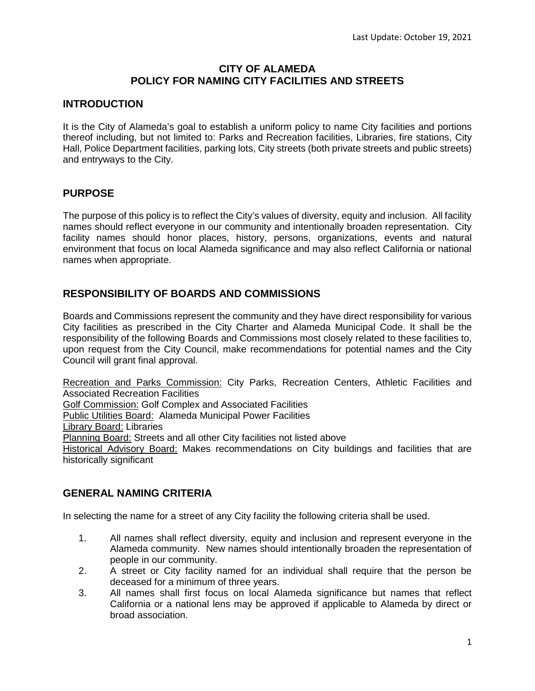## **CITY OF ALAMEDA POLICY FOR NAMING CITY FACILITIES AND STREETS**

## **INTRODUCTION**

It is the City of Alameda's goal to establish a uniform policy to name City facilities and portions thereof including, but not limited to: Parks and Recreation facilities, Libraries, fire stations, City Hall, Police Department facilities, parking lots, City streets (both private streets and public streets) and entryways to the City.

## **PURPOSE**

The purpose of this policy is to reflect the City's values of diversity, equity and inclusion. All facility names should reflect everyone in our community and intentionally broaden representation. City facility names should honor places, history, persons, organizations, events and natural environment that focus on local Alameda significance and may also reflect California or national names when appropriate.

## **RESPONSIBILITY OF BOARDS AND COMMISSIONS**

Boards and Commissions represent the community and they have direct responsibility for various City facilities as prescribed in the City Charter and Alameda Municipal Code. It shall be the responsibility of the following Boards and Commissions most closely related to these facilities to, upon request from the City Council, make recommendations for potential names and the City Council will grant final approval.

Recreation and Parks Commission: City Parks, Recreation Centers, Athletic Facilities and Associated Recreation Facilities Golf Commission: Golf Complex and Associated Facilities Public Utilities Board: Alameda Municipal Power Facilities Library Board: Libraries Planning Board: Streets and all other City facilities not listed above Historical Advisory Board: Makes recommendations on City buildings and facilities that are historically significant

## **GENERAL NAMING CRITERIA**

In selecting the name for a street of any City facility the following criteria shall be used.

- 1. All names shall reflect diversity, equity and inclusion and represent everyone in the Alameda community. New names should intentionally broaden the representation of people in our community.
- 2. A street or City facility named for an individual shall require that the person be deceased for a minimum of three years.
- 3. All names shall first focus on local Alameda significance but names that reflect California or a national lens may be approved if applicable to Alameda by direct or broad association.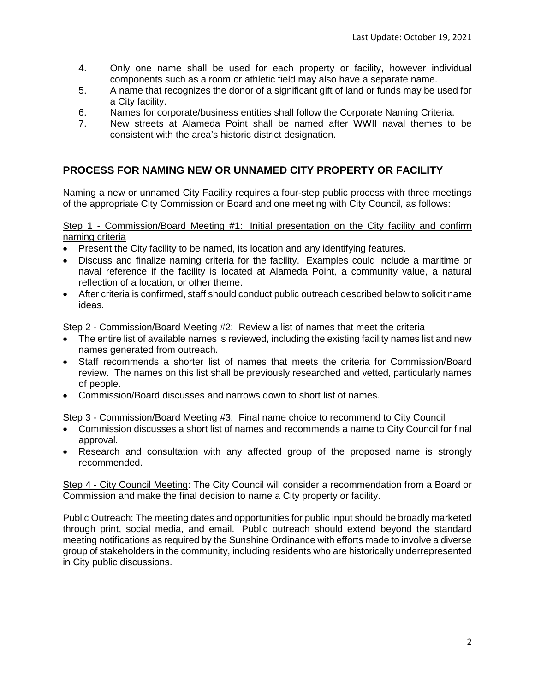- 4. Only one name shall be used for each property or facility, however individual components such as a room or athletic field may also have a separate name.
- 5. A name that recognizes the donor of a significant gift of land or funds may be used for a City facility.
- 6. Names for corporate/business entities shall follow the Corporate Naming Criteria.
- 7. New streets at Alameda Point shall be named after WWII naval themes to be consistent with the area's historic district designation.

## **PROCESS FOR NAMING NEW OR UNNAMED CITY PROPERTY OR FACILITY**

Naming a new or unnamed City Facility requires a four-step public process with three meetings of the appropriate City Commission or Board and one meeting with City Council, as follows:

### Step 1 - Commission/Board Meeting #1: Initial presentation on the City facility and confirm naming criteria

- Present the City facility to be named, its location and any identifying features.
- Discuss and finalize naming criteria for the facility. Examples could include a maritime or naval reference if the facility is located at Alameda Point, a community value, a natural reflection of a location, or other theme.
- After criteria is confirmed, staff should conduct public outreach described below to solicit name ideas.

Step 2 - Commission/Board Meeting #2: Review a list of names that meet the criteria

- The entire list of available names is reviewed, including the existing facility names list and new names generated from outreach.
- Staff recommends a shorter list of names that meets the criteria for Commission/Board review. The names on this list shall be previously researched and vetted, particularly names of people.
- Commission/Board discusses and narrows down to short list of names.

## Step 3 - Commission/Board Meeting #3: Final name choice to recommend to City Council

- Commission discusses a short list of names and recommends a name to City Council for final approval.
- Research and consultation with any affected group of the proposed name is strongly recommended.

Step 4 - City Council Meeting: The City Council will consider a recommendation from a Board or Commission and make the final decision to name a City property or facility.

Public Outreach: The meeting dates and opportunities for public input should be broadly marketed through print, social media, and email. Public outreach should extend beyond the standard meeting notifications as required by the Sunshine Ordinance with efforts made to involve a diverse group of stakeholders in the community, including residents who are historically underrepresented in City public discussions.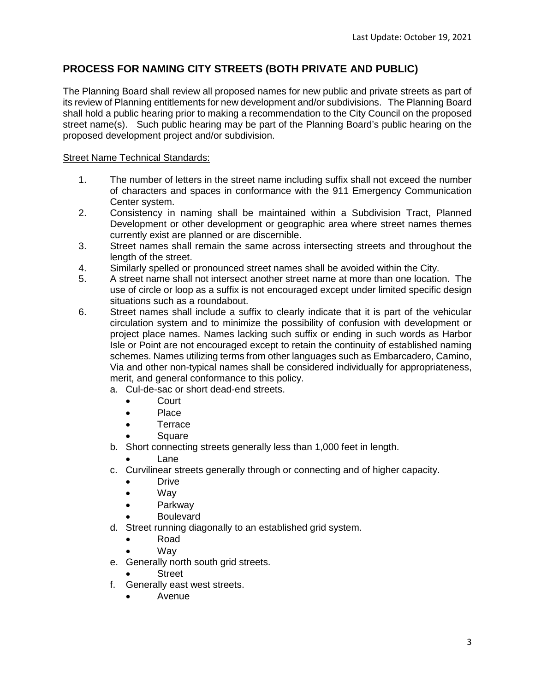# **PROCESS FOR NAMING CITY STREETS (BOTH PRIVATE AND PUBLIC)**

The Planning Board shall review all proposed names for new public and private streets as part of its review of Planning entitlements for new development and/or subdivisions. The Planning Board shall hold a public hearing prior to making a recommendation to the City Council on the proposed street name(s). Such public hearing may be part of the Planning Board's public hearing on the proposed development project and/or subdivision.

## Street Name Technical Standards:

- 1. The number of letters in the street name including suffix shall not exceed the number of characters and spaces in conformance with the 911 Emergency Communication Center system.
- 2. Consistency in naming shall be maintained within a Subdivision Tract, Planned Development or other development or geographic area where street names themes currently exist are planned or are discernible.
- 3. Street names shall remain the same across intersecting streets and throughout the length of the street.
- 4. Similarly spelled or pronounced street names shall be avoided within the City.
- 5. A street name shall not intersect another street name at more than one location. The use of circle or loop as a suffix is not encouraged except under limited specific design situations such as a roundabout.
- 6. Street names shall include a suffix to clearly indicate that it is part of the vehicular circulation system and to minimize the possibility of confusion with development or project place names. Names lacking such suffix or ending in such words as Harbor Isle or Point are not encouraged except to retain the continuity of established naming schemes. Names utilizing terms from other languages such as Embarcadero, Camino, Via and other non-typical names shall be considered individually for appropriateness, merit, and general conformance to this policy.
	- a. Cul-de-sac or short dead-end streets.
		- Court
		- Place
		- Terrace
		- **Square**
	- b. Short connecting streets generally less than 1,000 feet in length.

• Lane

- c. Curvilinear streets generally through or connecting and of higher capacity.
	- Drive
	- Way
	- Parkway
		- Boulevard
- d. Street running diagonally to an established grid system.
	- Road
	- Way
- e. Generally north south grid streets.
	- **Street**
- f. Generally east west streets.
	- Avenue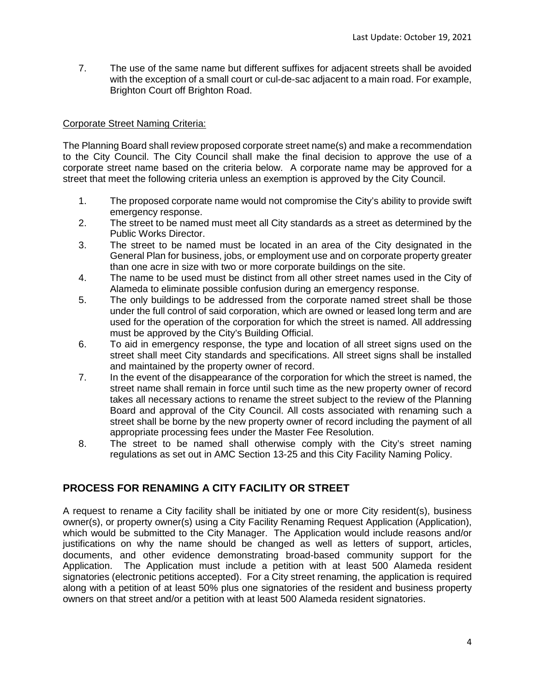7. The use of the same name but different suffixes for adjacent streets shall be avoided with the exception of a small court or cul-de-sac adjacent to a main road. For example, Brighton Court off Brighton Road.

### Corporate Street Naming Criteria:

The Planning Board shall review proposed corporate street name(s) and make a recommendation to the City Council. The City Council shall make the final decision to approve the use of a corporate street name based on the criteria below. A corporate name may be approved for a street that meet the following criteria unless an exemption is approved by the City Council.

- 1. The proposed corporate name would not compromise the City's ability to provide swift emergency response.
- 2. The street to be named must meet all City standards as a street as determined by the Public Works Director.
- 3. The street to be named must be located in an area of the City designated in the General Plan for business, jobs, or employment use and on corporate property greater than one acre in size with two or more corporate buildings on the site.
- 4. The name to be used must be distinct from all other street names used in the City of Alameda to eliminate possible confusion during an emergency response.
- 5. The only buildings to be addressed from the corporate named street shall be those under the full control of said corporation, which are owned or leased long term and are used for the operation of the corporation for which the street is named. All addressing must be approved by the City's Building Official.
- 6. To aid in emergency response, the type and location of all street signs used on the street shall meet City standards and specifications. All street signs shall be installed and maintained by the property owner of record.
- 7. In the event of the disappearance of the corporation for which the street is named, the street name shall remain in force until such time as the new property owner of record takes all necessary actions to rename the street subject to the review of the Planning Board and approval of the City Council. All costs associated with renaming such a street shall be borne by the new property owner of record including the payment of all appropriate processing fees under the Master Fee Resolution.
- 8. The street to be named shall otherwise comply with the City's street naming regulations as set out in AMC Section 13-25 and this City Facility Naming Policy.

# **PROCESS FOR RENAMING A CITY FACILITY OR STREET**

A request to rename a City facility shall be initiated by one or more City resident(s), business owner(s), or property owner(s) using a City Facility Renaming Request Application (Application), which would be submitted to the City Manager. The Application would include reasons and/or justifications on why the name should be changed as well as letters of support, articles, documents, and other evidence demonstrating broad-based community support for the Application. The Application must include a petition with at least 500 Alameda resident signatories (electronic petitions accepted). For a City street renaming, the application is required along with a petition of at least 50% plus one signatories of the resident and business property owners on that street and/or a petition with at least 500 Alameda resident signatories.